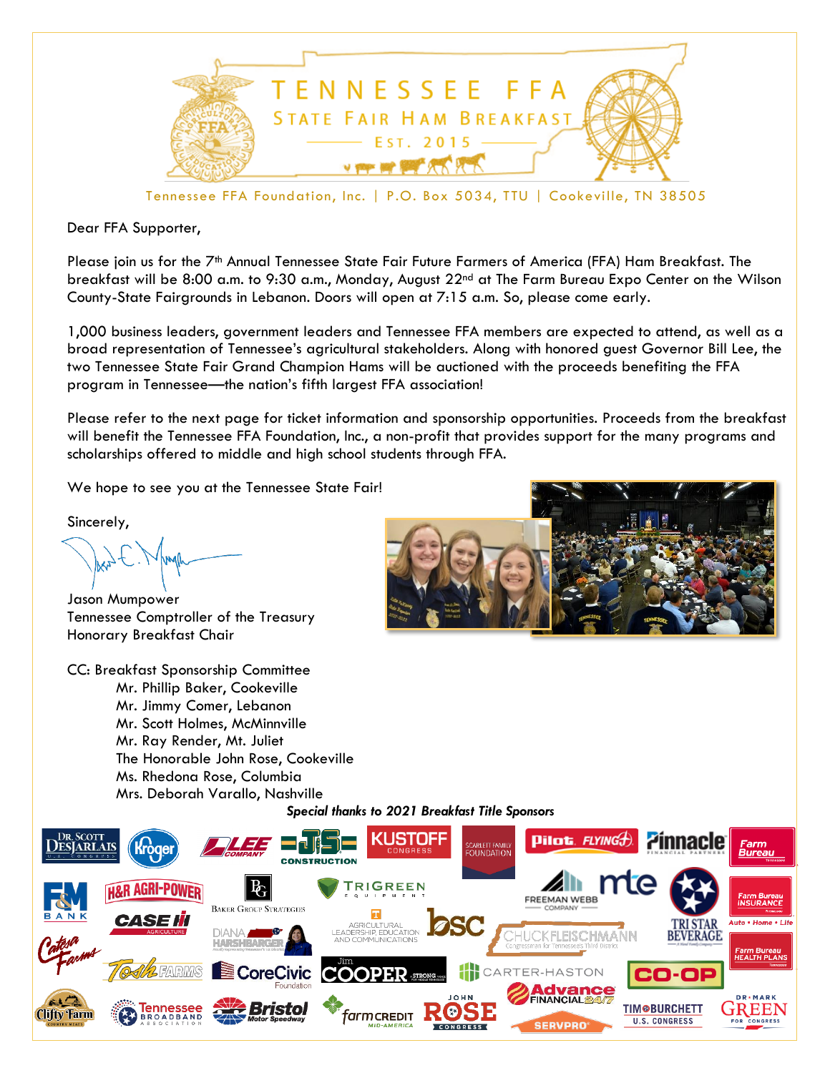

Tennessee FFA Foundation, Inc. | P.O. Box 5034, TTU | Cookeville, TN 38505

Dear FFA Supporter,

Please join us for the 7<sup>th</sup> Annual Tennessee State Fair Future Farmers of America (FFA) Ham Breakfast. The breakfast will be 8:00 a.m. to 9:30 a.m., Monday, August 22<sup>nd</sup> at The Farm Bureau Expo Center on the Wilson County-State Fairgrounds in Lebanon. Doors will open at 7:15 a.m. So, please come early.

1,000 business leaders, government leaders and Tennessee FFA members are expected to attend, as well as a broad representation of Tennessee's agricultural stakeholders. Along with honored guest Governor Bill Lee, the two Tennessee State Fair Grand Champion Hams will be auctioned with the proceeds benefiting the FFA program in Tennessee—the nation's fifth largest FFA association!

Please refer to the next page for ticket information and sponsorship opportunities. Proceeds from the breakfast will benefit the Tennessee FFA Foundation, Inc., a non-profit that provides support for the many programs and scholarships offered to middle and high school students through FFA.

We hope to see you at the Tennessee State Fair!

Sincerely,

Jason Mumpower Tennessee Comptroller of the Treasury Honorary Breakfast Chair

CC: Breakfast Sponsorship Committee Mr. Phillip Baker, Cookeville Mr. Jimmy Comer, Lebanon Mr. Scott Holmes, McMinnville Mr. Ray Render, Mt. Juliet The Honorable John Rose, Cookeville Ms. Rhedona Rose, Columbia Mrs. Deborah Varallo, Nashville



## *Special thanks to 2021 Breakfast Title Sponsors*